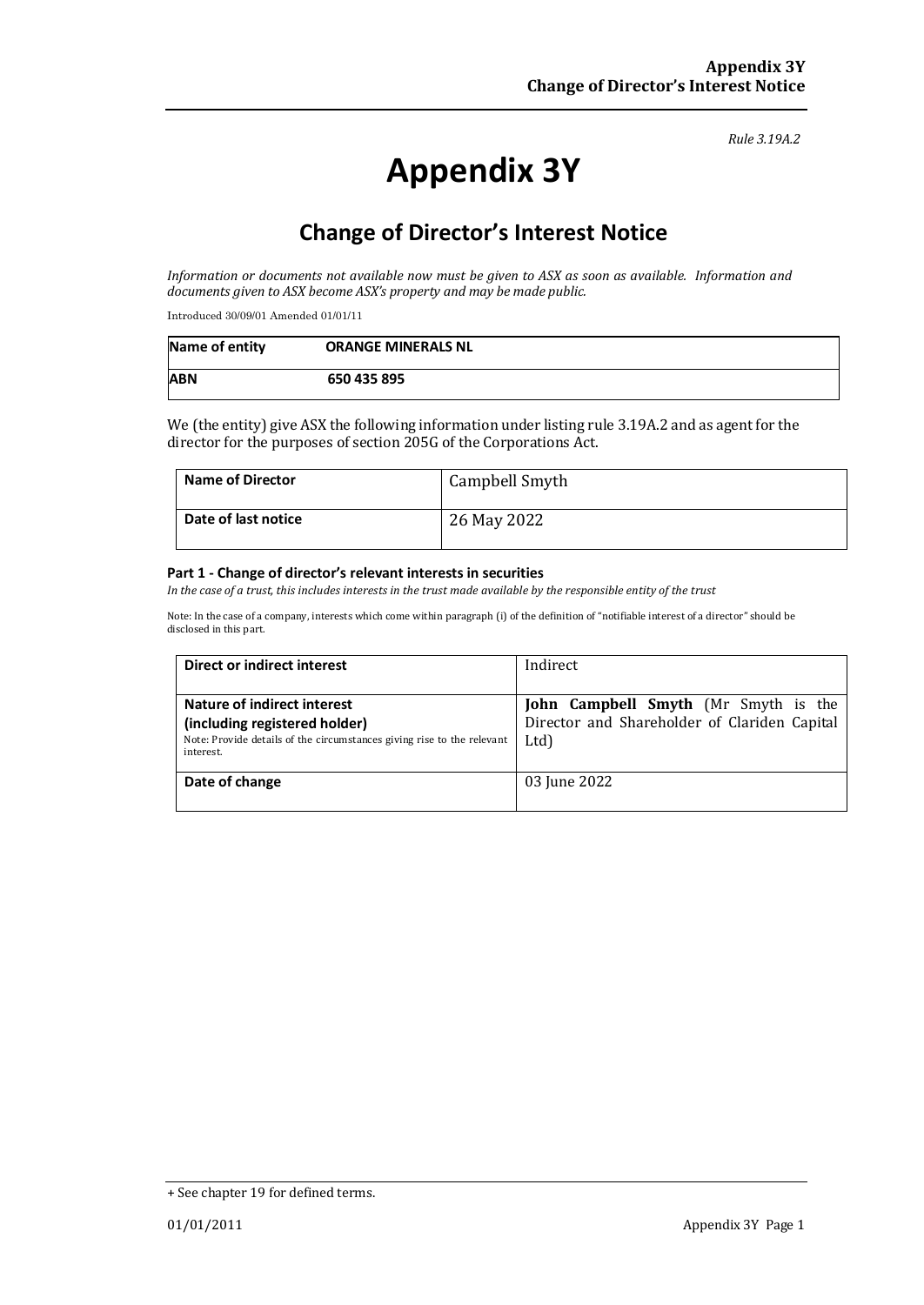#### *Rule 3.19A.2*

# **Appendix 3Y**

## **Change of Director's Interest Notice**

*Information or documents not available now must be given to ASX as soon as available. Information and documents given to ASX become ASX's property and may be made public.*

Introduced 30/09/01 Amended 01/01/11

| Name of entity | <b>ORANGE MINERALS NL</b> |
|----------------|---------------------------|
| <b>ABN</b>     | 650 435 895               |

We (the entity) give ASX the following information under listing rule 3.19A.2 and as agent for the director for the purposes of section 205G of the Corporations Act.

| <b>Name of Director</b> | Campbell Smyth |
|-------------------------|----------------|
| Date of last notice     | 26 May 2022    |

#### **Part 1 - Change of director's relevant interests in securities**

*In the case of a trust, this includes interests in the trust made available by the responsible entity of the trust*

Note: In the case of a company, interests which come within paragraph (i) of the definition of "notifiable interest of a director" should be disclosed in this part.

| Direct or indirect interest                                                         | Indirect                                     |  |
|-------------------------------------------------------------------------------------|----------------------------------------------|--|
|                                                                                     |                                              |  |
| Nature of indirect interest                                                         | John Campbell Smyth (Mr Smyth is the         |  |
| (including registered holder)                                                       | Director and Shareholder of Clariden Capital |  |
| Note: Provide details of the circumstances giving rise to the relevant<br>interest. | Ltd)                                         |  |
| Date of change                                                                      | 03 June 2022                                 |  |
|                                                                                     |                                              |  |

<sup>+</sup> See chapter 19 for defined terms.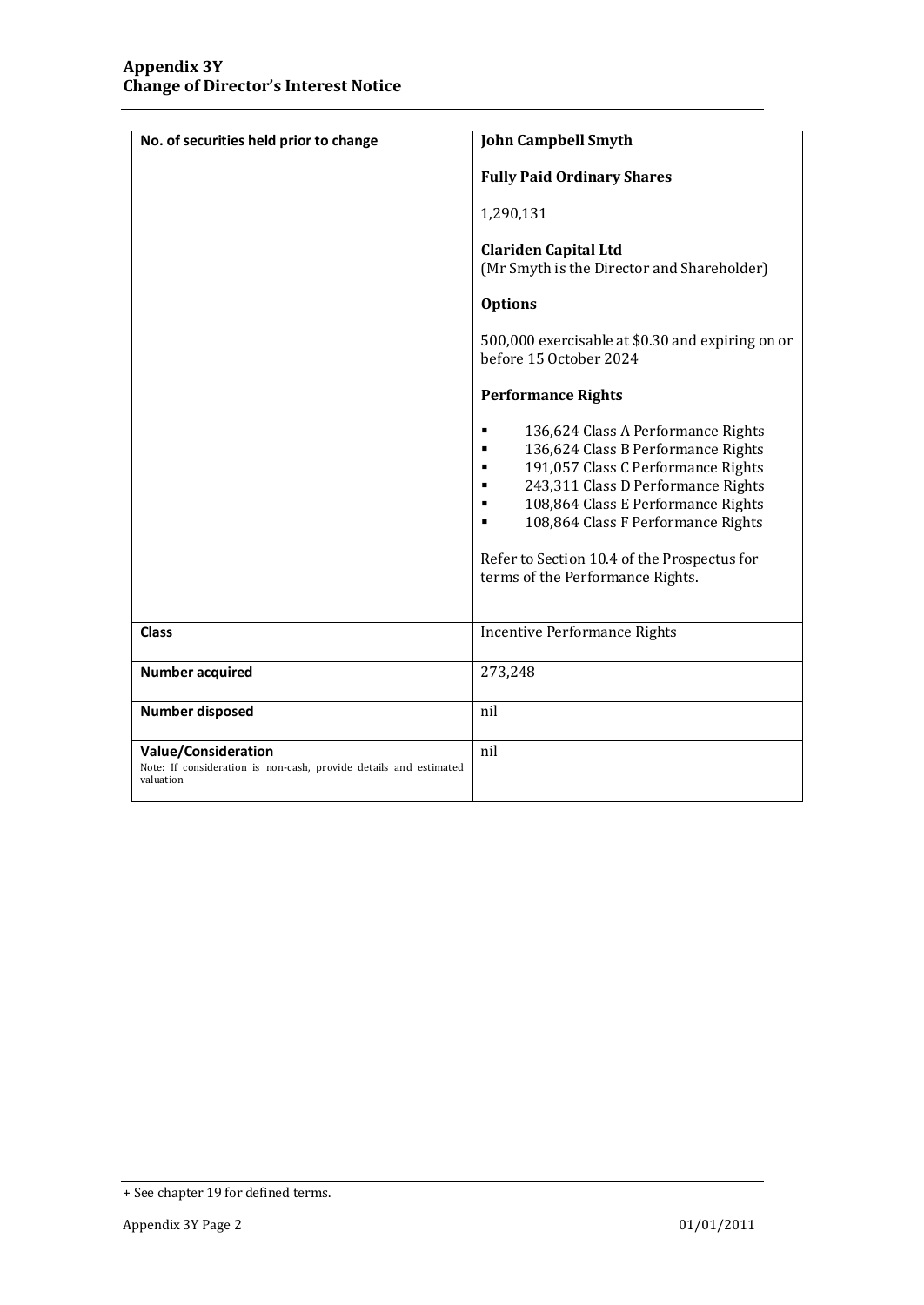| No. of securities held prior to change                                                                       | <b>John Campbell Smyth</b>                                                                                                                                                                                                                                                                                                                        |  |
|--------------------------------------------------------------------------------------------------------------|---------------------------------------------------------------------------------------------------------------------------------------------------------------------------------------------------------------------------------------------------------------------------------------------------------------------------------------------------|--|
|                                                                                                              | <b>Fully Paid Ordinary Shares</b>                                                                                                                                                                                                                                                                                                                 |  |
|                                                                                                              | 1,290,131                                                                                                                                                                                                                                                                                                                                         |  |
|                                                                                                              | <b>Clariden Capital Ltd</b><br>(Mr Smyth is the Director and Shareholder)                                                                                                                                                                                                                                                                         |  |
|                                                                                                              | <b>Options</b>                                                                                                                                                                                                                                                                                                                                    |  |
|                                                                                                              | 500,000 exercisable at \$0.30 and expiring on or<br>before 15 October 2024                                                                                                                                                                                                                                                                        |  |
|                                                                                                              | <b>Performance Rights</b>                                                                                                                                                                                                                                                                                                                         |  |
|                                                                                                              | 136,624 Class A Performance Rights<br>٠<br>136,624 Class B Performance Rights<br>٠<br>191,057 Class C Performance Rights<br>٠<br>243,311 Class D Performance Rights<br>٠<br>108,864 Class E Performance Rights<br>٠<br>108,864 Class F Performance Rights<br>٠<br>Refer to Section 10.4 of the Prospectus for<br>terms of the Performance Rights. |  |
| <b>Class</b>                                                                                                 | <b>Incentive Performance Rights</b>                                                                                                                                                                                                                                                                                                               |  |
| <b>Number acquired</b>                                                                                       | 273,248                                                                                                                                                                                                                                                                                                                                           |  |
| <b>Number disposed</b>                                                                                       | nil                                                                                                                                                                                                                                                                                                                                               |  |
| <b>Value/Consideration</b><br>Note: If consideration is non-cash, provide details and estimated<br>valuation | nil                                                                                                                                                                                                                                                                                                                                               |  |

<sup>+</sup> See chapter 19 for defined terms.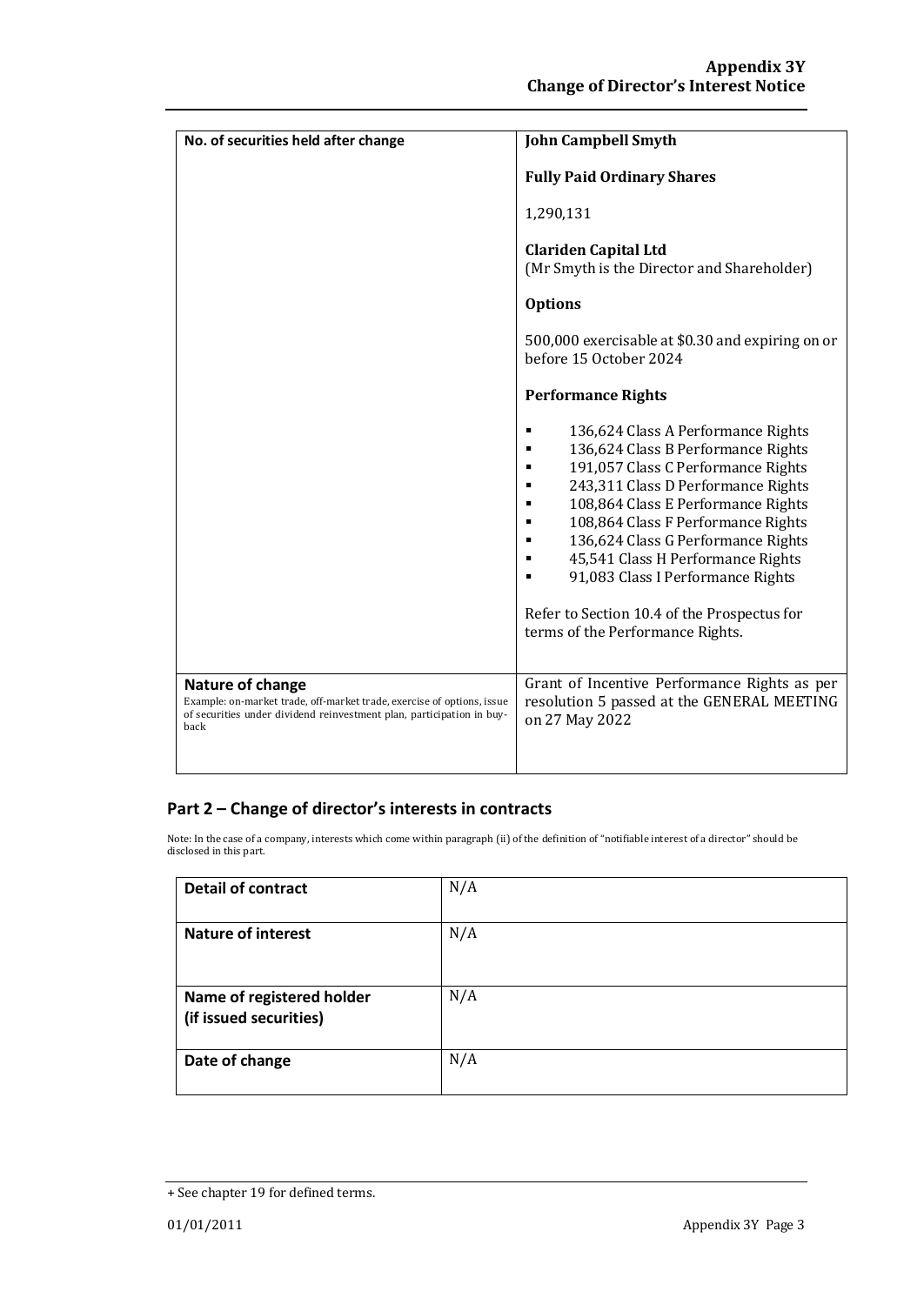| No. of securities held after change                                                                                                                                         | <b>John Campbell Smyth</b>                                                                                                                                                                                                                                                                                                                                                                                                                         |  |
|-----------------------------------------------------------------------------------------------------------------------------------------------------------------------------|----------------------------------------------------------------------------------------------------------------------------------------------------------------------------------------------------------------------------------------------------------------------------------------------------------------------------------------------------------------------------------------------------------------------------------------------------|--|
|                                                                                                                                                                             | <b>Fully Paid Ordinary Shares</b>                                                                                                                                                                                                                                                                                                                                                                                                                  |  |
|                                                                                                                                                                             | 1,290,131                                                                                                                                                                                                                                                                                                                                                                                                                                          |  |
|                                                                                                                                                                             | <b>Clariden Capital Ltd</b><br>(Mr Smyth is the Director and Shareholder)                                                                                                                                                                                                                                                                                                                                                                          |  |
|                                                                                                                                                                             | <b>Options</b>                                                                                                                                                                                                                                                                                                                                                                                                                                     |  |
|                                                                                                                                                                             | 500,000 exercisable at \$0.30 and expiring on or<br>before 15 October 2024                                                                                                                                                                                                                                                                                                                                                                         |  |
|                                                                                                                                                                             | <b>Performance Rights</b>                                                                                                                                                                                                                                                                                                                                                                                                                          |  |
|                                                                                                                                                                             | 136,624 Class A Performance Rights<br>٠<br>136,624 Class B Performance Rights<br>191,057 Class C Performance Rights<br>٠<br>243,311 Class D Performance Rights<br>٠<br>108,864 Class E Performance Rights<br>108,864 Class F Performance Rights<br>136,624 Class G Performance Rights<br>45,541 Class H Performance Rights<br>91,083 Class I Performance Rights<br>Refer to Section 10.4 of the Prospectus for<br>terms of the Performance Rights. |  |
| Nature of change<br>Example: on-market trade, off-market trade, exercise of options, issue<br>of securities under dividend reinvestment plan, participation in buy-<br>back | Grant of Incentive Performance Rights as per<br>resolution 5 passed at the GENERAL MEETING<br>on 27 May 2022                                                                                                                                                                                                                                                                                                                                       |  |

### **Part 2 – Change of director's interests in contracts**

Note: In the case of a company, interests which come within paragraph (ii) of the definition of "notifiable interest of a director" should be disclosed in this part.

| <b>Detail of contract</b>                           | N/A |
|-----------------------------------------------------|-----|
| <b>Nature of interest</b>                           | N/A |
| Name of registered holder<br>(if issued securities) | N/A |
| Date of change                                      | N/A |

<sup>+</sup> See chapter 19 for defined terms.